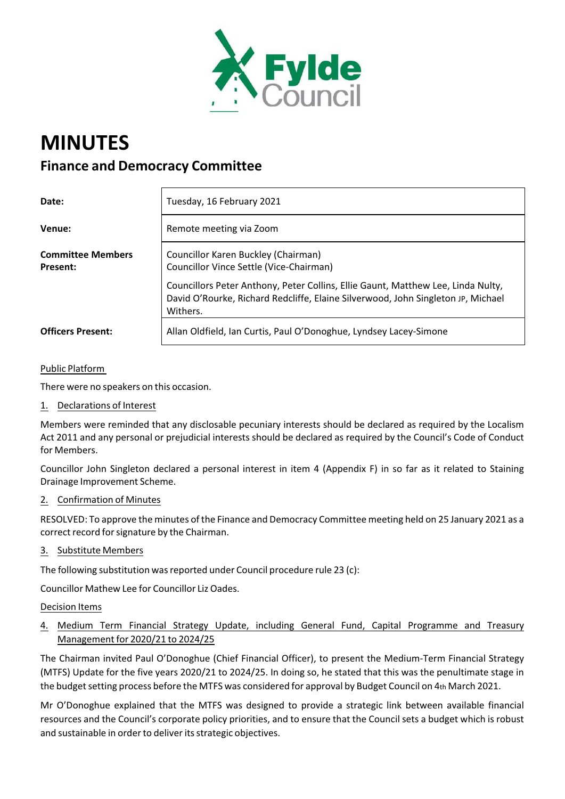

# **MINUTES**

# **Finance and Democracy Committee**

| Date:                                | Tuesday, 16 February 2021                                                                                                                                                        |
|--------------------------------------|----------------------------------------------------------------------------------------------------------------------------------------------------------------------------------|
| Venue:                               | Remote meeting via Zoom                                                                                                                                                          |
| <b>Committee Members</b><br>Present: | Councillor Karen Buckley (Chairman)<br>Councillor Vince Settle (Vice-Chairman)                                                                                                   |
|                                      | Councillors Peter Anthony, Peter Collins, Ellie Gaunt, Matthew Lee, Linda Nulty,<br>David O'Rourke, Richard Redcliffe, Elaine Silverwood, John Singleton JP, Michael<br>Withers. |
| <b>Officers Present:</b>             | Allan Oldfield, Ian Curtis, Paul O'Donoghue, Lyndsey Lacey-Simone                                                                                                                |

### Public Platform

There were no speakers on this occasion.

1. Declarations of Interest

Members were reminded that any disclosable pecuniary interests should be declared as required by the Localism Act 2011 and any personal or prejudicial interests should be declared as required by the Council's Code of Conduct for Members.

Councillor John Singleton declared a personal interest in item 4 (Appendix F) in so far as it related to Staining Drainage Improvement Scheme.

#### 2. Confirmation of Minutes

RESOLVED: To approve the minutes of the Finance and Democracy Committee meeting held on 25 January 2021 as a correct record for signature by the Chairman.

### 3. Substitute Members

The following substitution was reported under Council procedure rule 23 (c):

Councillor Mathew Lee for Councillor Liz Oades.

#### Decision Items

## 4. Medium Term Financial Strategy Update, including General Fund, Capital Programme and Treasury Management for 2020/21 to 2024/25

The Chairman invited Paul O'Donoghue (Chief Financial Officer), to present the Medium‐Term Financial Strategy (MTFS) Update for the five years 2020/21 to 2024/25. In doing so, he stated that this was the penultimate stage in the budget setting process before the MTFS was considered for approval by Budget Council on 4th March 2021.

Mr O'Donoghue explained that the MTFS was designed to provide a strategic link between available financial resources and the Council's corporate policy priorities, and to ensure that the Council sets a budget which is robust and sustainable in order to deliver its strategic objectives.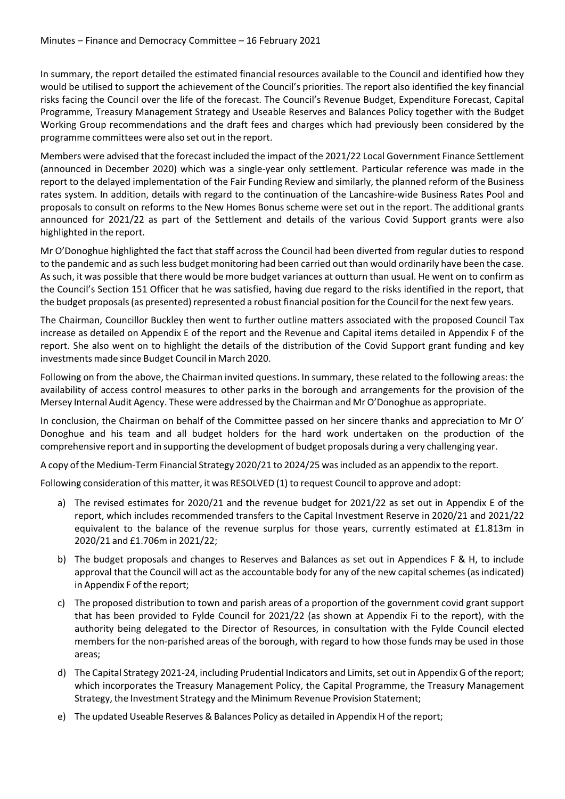In summary, the report detailed the estimated financial resources available to the Council and identified how they would be utilised to support the achievement of the Council's priorities. The report also identified the key financial risks facing the Council over the life of the forecast. The Council's Revenue Budget, Expenditure Forecast, Capital Programme, Treasury Management Strategy and Useable Reserves and Balances Policy together with the Budget Working Group recommendations and the draft fees and charges which had previously been considered by the programme committees were also set out in the report.

Members were advised that the forecast included the impact of the 2021/22 Local Government Finance Settlement (announced in December 2020) which was a single‐year only settlement. Particular reference was made in the report to the delayed implementation of the Fair Funding Review and similarly, the planned reform of the Business rates system. In addition, details with regard to the continuation of the Lancashire‐wide Business Rates Pool and proposals to consult on reforms to the New Homes Bonus scheme were set out in the report. The additional grants announced for 2021/22 as part of the Settlement and details of the various Covid Support grants were also highlighted in the report.

Mr O'Donoghue highlighted the fact that staff across the Council had been diverted from regular duties to respond to the pandemic and assuch less budget monitoring had been carried out than would ordinarily have been the case. As such, it was possible that there would be more budget variances at outturn than usual. He went on to confirm as the Council's Section 151 Officer that he was satisfied, having due regard to the risks identified in the report, that the budget proposals (as presented) represented a robust financial position for the Council for the next few years.

The Chairman, Councillor Buckley then went to further outline matters associated with the proposed Council Tax increase as detailed on Appendix E of the report and the Revenue and Capital items detailed in Appendix F of the report. She also went on to highlight the details of the distribution of the Covid Support grant funding and key investments made since Budget Council in March 2020.

Following on from the above, the Chairman invited questions. In summary, these related to the following areas: the availability of access control measures to other parks in the borough and arrangements for the provision of the Mersey Internal Audit Agency. These were addressed by the Chairman and Mr O'Donoghue as appropriate.

In conclusion, the Chairman on behalf of the Committee passed on her sincere thanks and appreciation to Mr O' Donoghue and his team and all budget holders for the hard work undertaken on the production of the comprehensive report and in supporting the development of budget proposals during a very challenging year.

A copy of the Medium‐Term Financial Strategy 2020/21 to 2024/25 wasincluded as an appendix to the report.

Following consideration of this matter, it was RESOLVED (1) to request Council to approve and adopt:

- a) The revised estimates for 2020/21 and the revenue budget for 2021/22 as set out in Appendix E of the report, which includes recommended transfers to the Capital Investment Reserve in 2020/21 and 2021/22 equivalent to the balance of the revenue surplus for those years, currently estimated at £1.813m in 2020/21 and £1.706m in 2021/22;
- b) The budget proposals and changes to Reserves and Balances as set out in Appendices F & H, to include approval that the Council will act as the accountable body for any of the new capital schemes (as indicated) in Appendix F of the report;
- c) The proposed distribution to town and parish areas of a proportion of the government covid grant support that has been provided to Fylde Council for 2021/22 (as shown at Appendix Fi to the report), with the authority being delegated to the Director of Resources, in consultation with the Fylde Council elected members for the non-parished areas of the borough, with regard to how those funds may be used in those areas;
- d) The Capital Strategy 2021-24, including Prudential Indicators and Limits, set out in Appendix G of the report; which incorporates the Treasury Management Policy, the Capital Programme, the Treasury Management Strategy, the Investment Strategy and the Minimum Revenue Provision Statement;
- e) The updated Useable Reserves & Balances Policy as detailed in Appendix H of the report;